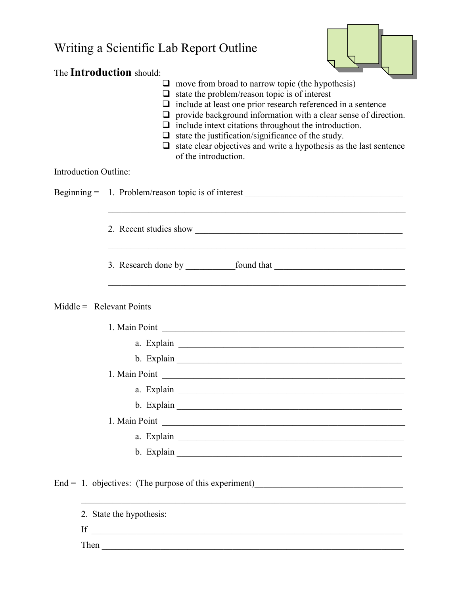| Writing a Scientific Lab Report Outline<br>The Introduction should:<br>$\Box$ move from broad to narrow topic (the hypothesis)<br>$\Box$ state the problem/reason topic is of interest<br>$\Box$ include at least one prior research referenced in a sentence<br>provide background information with a clear sense of direction.<br>$\Box$ include intext citations throughout the introduction.<br>$\Box$ state the justification/significance of the study.<br>$\Box$ state clear objectives and write a hypothesis as the last sentence<br>of the introduction. |                                                                                  |
|--------------------------------------------------------------------------------------------------------------------------------------------------------------------------------------------------------------------------------------------------------------------------------------------------------------------------------------------------------------------------------------------------------------------------------------------------------------------------------------------------------------------------------------------------------------------|----------------------------------------------------------------------------------|
| <b>Introduction Outline:</b>                                                                                                                                                                                                                                                                                                                                                                                                                                                                                                                                       |                                                                                  |
|                                                                                                                                                                                                                                                                                                                                                                                                                                                                                                                                                                    | Beginning = 1. Problem/reason topic is of interest _____________________________ |
|                                                                                                                                                                                                                                                                                                                                                                                                                                                                                                                                                                    |                                                                                  |
|                                                                                                                                                                                                                                                                                                                                                                                                                                                                                                                                                                    |                                                                                  |
|                                                                                                                                                                                                                                                                                                                                                                                                                                                                                                                                                                    | $Middle = Relevant Points$                                                       |
|                                                                                                                                                                                                                                                                                                                                                                                                                                                                                                                                                                    | 1. Main Point                                                                    |
|                                                                                                                                                                                                                                                                                                                                                                                                                                                                                                                                                                    |                                                                                  |
|                                                                                                                                                                                                                                                                                                                                                                                                                                                                                                                                                                    |                                                                                  |
|                                                                                                                                                                                                                                                                                                                                                                                                                                                                                                                                                                    | 1. Main Point                                                                    |
|                                                                                                                                                                                                                                                                                                                                                                                                                                                                                                                                                                    |                                                                                  |
|                                                                                                                                                                                                                                                                                                                                                                                                                                                                                                                                                                    |                                                                                  |
|                                                                                                                                                                                                                                                                                                                                                                                                                                                                                                                                                                    |                                                                                  |
|                                                                                                                                                                                                                                                                                                                                                                                                                                                                                                                                                                    |                                                                                  |
|                                                                                                                                                                                                                                                                                                                                                                                                                                                                                                                                                                    |                                                                                  |
|                                                                                                                                                                                                                                                                                                                                                                                                                                                                                                                                                                    | End = 1. objectives: (The purpose of this experiment) $\qquad \qquad$            |
|                                                                                                                                                                                                                                                                                                                                                                                                                                                                                                                                                                    | 2. State the hypothesis:<br>If $\overline{\phantom{a}}$                          |

Then \_\_\_\_\_\_\_\_\_\_\_\_\_\_\_\_\_\_\_\_\_\_\_\_\_\_\_\_\_\_\_\_\_\_\_\_\_\_\_\_\_\_\_\_\_\_\_\_\_\_\_\_\_\_\_\_\_\_\_\_\_\_\_\_\_\_\_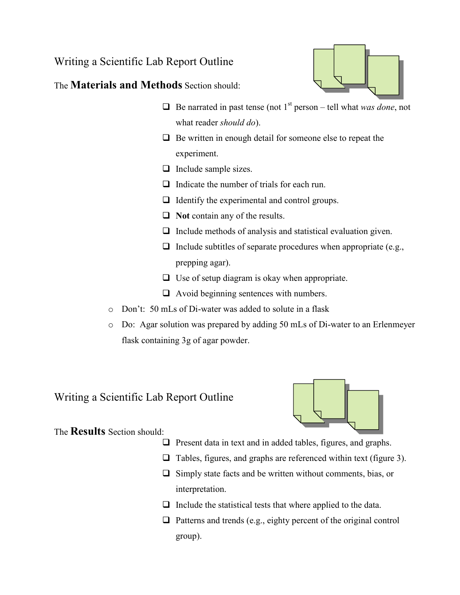## Writing a Scientific Lab Report Outline

The Materials and Methods Section should:

- $\Box$  Be narrated in past tense (not 1<sup>st</sup> person tell what was done, not what reader *should do*).
- $\Box$  Be written in enough detail for someone else to repeat the experiment.
- $\Box$  Include sample sizes.
- $\Box$  Indicate the number of trials for each run.
- $\Box$  Identify the experimental and control groups.
- $\Box$  Not contain any of the results.
- $\Box$  Include methods of analysis and statistical evaluation given.
- $\Box$  Include subtitles of separate procedures when appropriate (e.g., prepping agar).
- $\Box$  Use of setup diagram is okay when appropriate.
- $\Box$  Avoid beginning sentences with numbers.
- o Don't: 50 mLs of Di-water was added to solute in a flask
- o Do: Agar solution was prepared by adding 50 mLs of Di-water to an Erlenmeyer flask containing 3g of agar powder.

## Writing a Scientific Lab Report Outline



The Results Section should:

- $\Box$  Present data in text and in added tables, figures, and graphs.
- $\Box$  Tables, figures, and graphs are referenced within text (figure 3).
- $\Box$  Simply state facts and be written without comments, bias, or interpretation.
- $\Box$  Include the statistical tests that where applied to the data.
- $\Box$  Patterns and trends (e.g., eighty percent of the original control group).